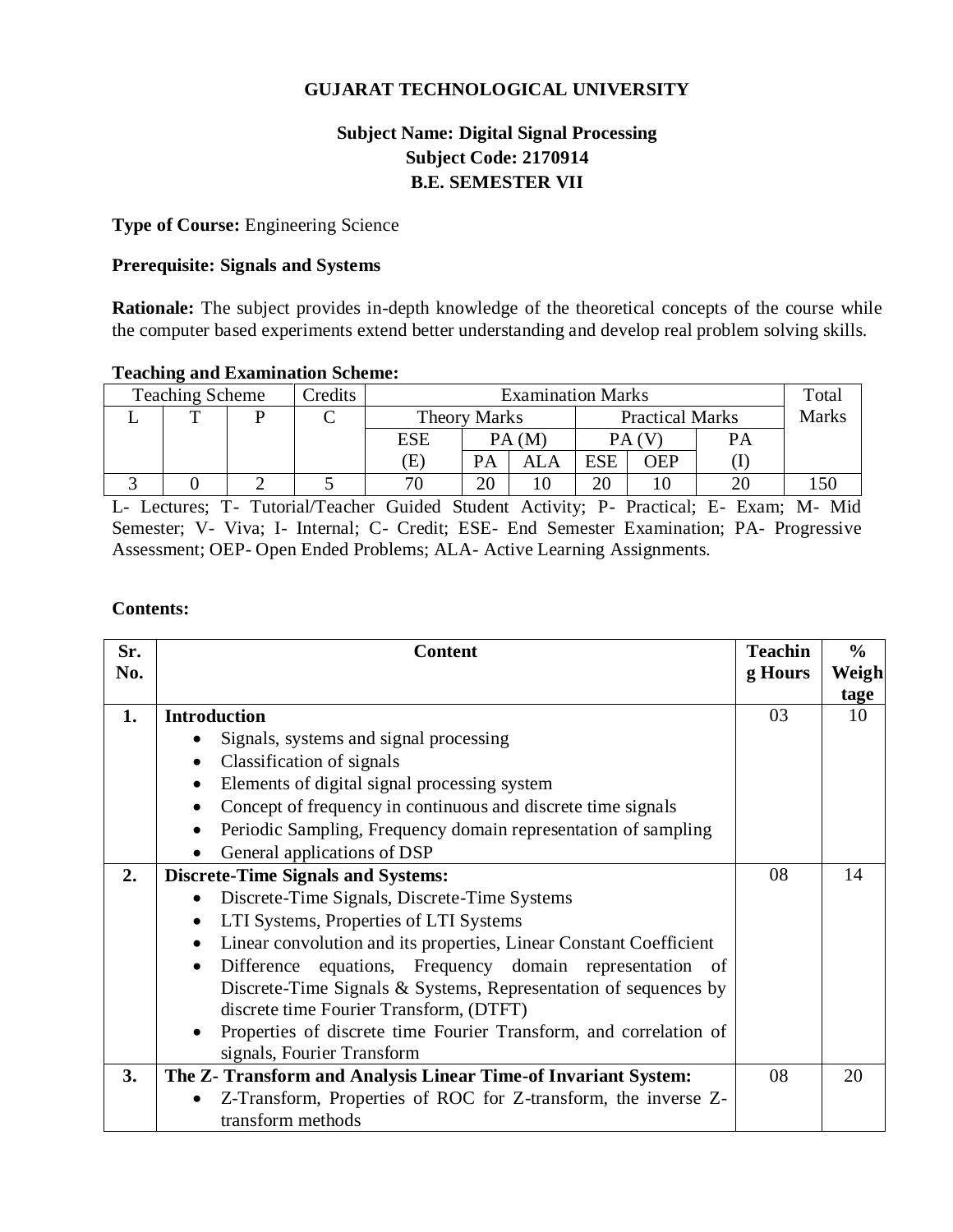## **GUJARAT TECHNOLOGICAL UNIVERSITY**

# **Subject Name: Digital Signal Processing Subject Code: 2170914 B.E. SEMESTER VII**

#### **Type of Course:** Engineering Science

#### **Prerequisite: Signals and Systems**

**Rationale:** The subject provides in-depth knowledge of the theoretical concepts of the course while the computer based experiments extend better understanding and develop real problem solving skills.

#### **Teaching and Examination Scheme:**

| <i>redits</i><br><b>Teaching Scheme</b> |  |  | <b>Examination Marks</b> |                     |    |                        |            | Total        |    |  |
|-----------------------------------------|--|--|--------------------------|---------------------|----|------------------------|------------|--------------|----|--|
|                                         |  |  |                          | <b>Theory Marks</b> |    | <b>Practical Marks</b> |            | <b>Marks</b> |    |  |
|                                         |  |  |                          | <b>ESE</b>          |    | PA(M)                  |            | PA (V        | PA |  |
|                                         |  |  |                          | Έ                   | PA |                        | <b>ESE</b> | DEP          |    |  |
|                                         |  |  |                          | חר                  | 20 |                        | 20         |              |    |  |

L- Lectures; T- Tutorial/Teacher Guided Student Activity; P- Practical; E- Exam; M- Mid Semester; V- Viva; I- Internal; C- Credit; ESE- End Semester Examination; PA- Progressive Assessment; OEP- Open Ended Problems; ALA- Active Learning Assignments.

## **Contents:**

| Sr. | <b>Content</b>                                                                  | <b>Teachin</b> | $\frac{0}{0}$ |
|-----|---------------------------------------------------------------------------------|----------------|---------------|
| No. |                                                                                 | g Hours        | Weigh         |
|     |                                                                                 |                | tage          |
| 1.  | <b>Introduction</b>                                                             | 03             | 10            |
|     | Signals, systems and signal processing                                          |                |               |
|     | Classification of signals                                                       |                |               |
|     | Elements of digital signal processing system<br>$\bullet$                       |                |               |
|     | Concept of frequency in continuous and discrete time signals                    |                |               |
|     | Periodic Sampling, Frequency domain representation of sampling                  |                |               |
|     | General applications of DSP                                                     |                |               |
| 2.  | <b>Discrete-Time Signals and Systems:</b>                                       | 08             | 14            |
|     | Discrete-Time Signals, Discrete-Time Systems                                    |                |               |
|     | LTI Systems, Properties of LTI Systems                                          |                |               |
|     | Linear convolution and its properties, Linear Constant Coefficient<br>$\bullet$ |                |               |
|     | Difference equations, Frequency domain representation of                        |                |               |
|     | Discrete-Time Signals & Systems, Representation of sequences by                 |                |               |
|     | discrete time Fourier Transform, (DTFT)                                         |                |               |
|     | Properties of discrete time Fourier Transform, and correlation of               |                |               |
|     | signals, Fourier Transform                                                      |                |               |
| 3.  | The Z- Transform and Analysis Linear Time-of Invariant System:                  | 08             | 20            |
|     | Z-Transform, Properties of ROC for Z-transform, the inverse Z-                  |                |               |
|     | transform methods                                                               |                |               |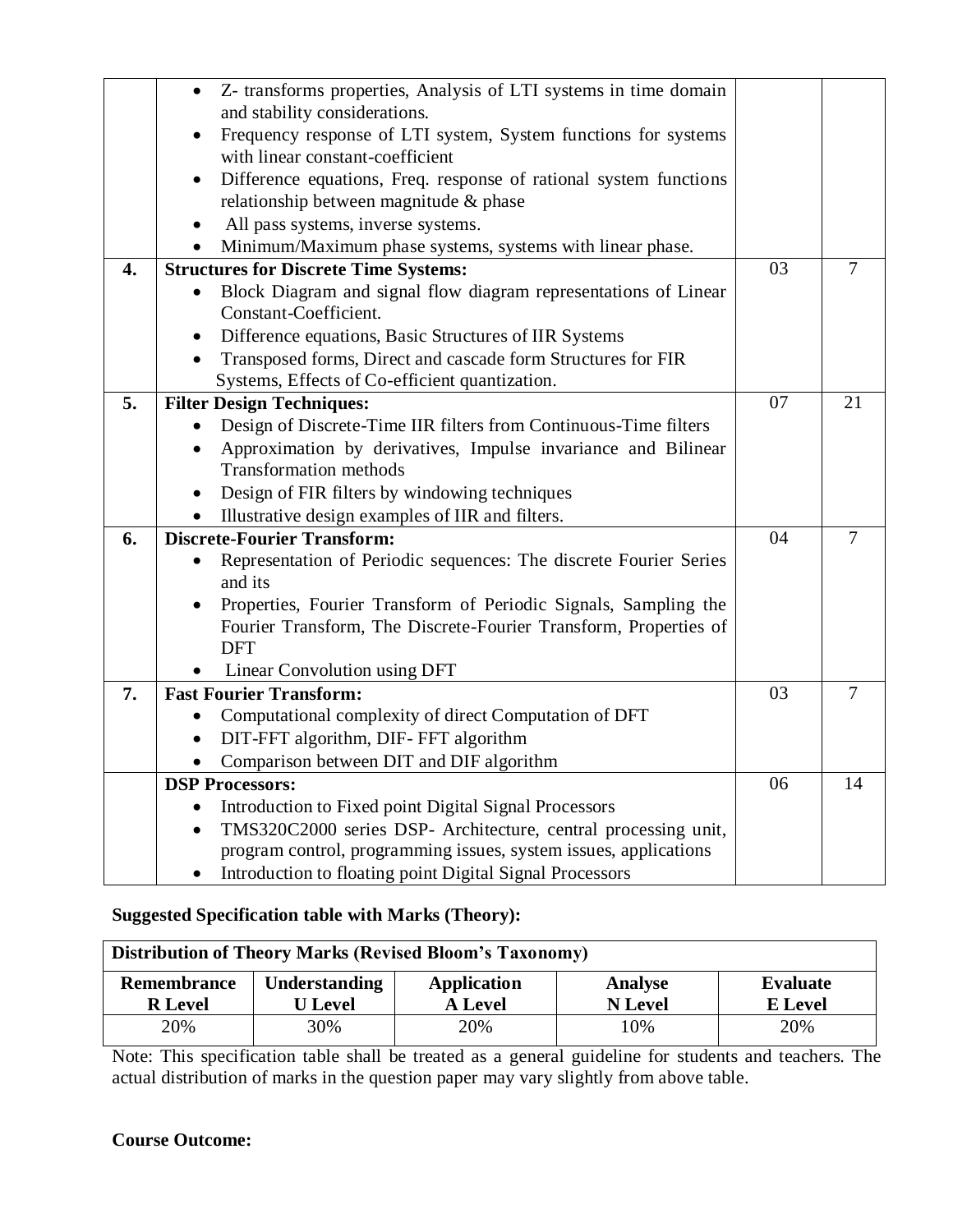|                  | Z- transforms properties, Analysis of LTI systems in time domain            |    |                |
|------------------|-----------------------------------------------------------------------------|----|----------------|
|                  | and stability considerations.                                               |    |                |
|                  | Frequency response of LTI system, System functions for systems              |    |                |
|                  | with linear constant-coefficient                                            |    |                |
|                  | Difference equations, Freq. response of rational system functions           |    |                |
|                  | relationship between magnitude & phase                                      |    |                |
|                  | All pass systems, inverse systems.                                          |    |                |
|                  | Minimum/Maximum phase systems, systems with linear phase.                   |    |                |
| $\overline{4}$ . | <b>Structures for Discrete Time Systems:</b>                                | 03 | $\overline{7}$ |
|                  | Block Diagram and signal flow diagram representations of Linear             |    |                |
|                  | Constant-Coefficient.                                                       |    |                |
|                  | Difference equations, Basic Structures of IIR Systems                       |    |                |
|                  | Transposed forms, Direct and cascade form Structures for FIR                |    |                |
|                  | Systems, Effects of Co-efficient quantization.                              |    |                |
| 5.               | <b>Filter Design Techniques:</b>                                            | 07 | 21             |
|                  | Design of Discrete-Time IIR filters from Continuous-Time filters            |    |                |
|                  | Approximation by derivatives, Impulse invariance and Bilinear<br>$\bullet$  |    |                |
|                  | <b>Transformation methods</b>                                               |    |                |
|                  | Design of FIR filters by windowing techniques<br>$\bullet$                  |    |                |
|                  | Illustrative design examples of IIR and filters.<br>$\bullet$               |    |                |
| 6.               | <b>Discrete-Fourier Transform:</b>                                          | 04 | 7              |
|                  | Representation of Periodic sequences: The discrete Fourier Series           |    |                |
|                  | and its                                                                     |    |                |
|                  | Properties, Fourier Transform of Periodic Signals, Sampling the             |    |                |
|                  | Fourier Transform, The Discrete-Fourier Transform, Properties of            |    |                |
|                  | <b>DFT</b>                                                                  |    |                |
|                  | Linear Convolution using DFT                                                |    |                |
| 7.               | <b>Fast Fourier Transform:</b>                                              | 03 | 7              |
|                  | Computational complexity of direct Computation of DFT                       |    |                |
|                  | DIT-FFT algorithm, DIF-FFT algorithm                                        |    |                |
|                  | Comparison between DIT and DIF algorithm<br>$\bullet$                       |    |                |
|                  | <b>DSP Processors:</b>                                                      | 06 | 14             |
|                  | Introduction to Fixed point Digital Signal Processors<br>$\bullet$          |    |                |
|                  | TMS320C2000 series DSP- Architecture, central processing unit,<br>$\bullet$ |    |                |
|                  | program control, programming issues, system issues, applications            |    |                |
|                  | Introduction to floating point Digital Signal Processors                    |    |                |

# **Suggested Specification table with Marks (Theory):**

| <b>Distribution of Theory Marks (Revised Bloom's Taxonomy)</b> |                                 |                               |                           |                            |  |  |
|----------------------------------------------------------------|---------------------------------|-------------------------------|---------------------------|----------------------------|--|--|
| Remembrance<br><b>R</b> Level                                  | Understanding<br><b>U</b> Level | Application<br><b>A</b> Level | Analyse<br><b>N</b> Level | Evaluate<br><b>E</b> Level |  |  |
| 20%                                                            | 30%                             | 20%                           | 10%                       | 20%                        |  |  |

Note: This specification table shall be treated as a general guideline for students and teachers. The actual distribution of marks in the question paper may vary slightly from above table.

## **Course Outcome:**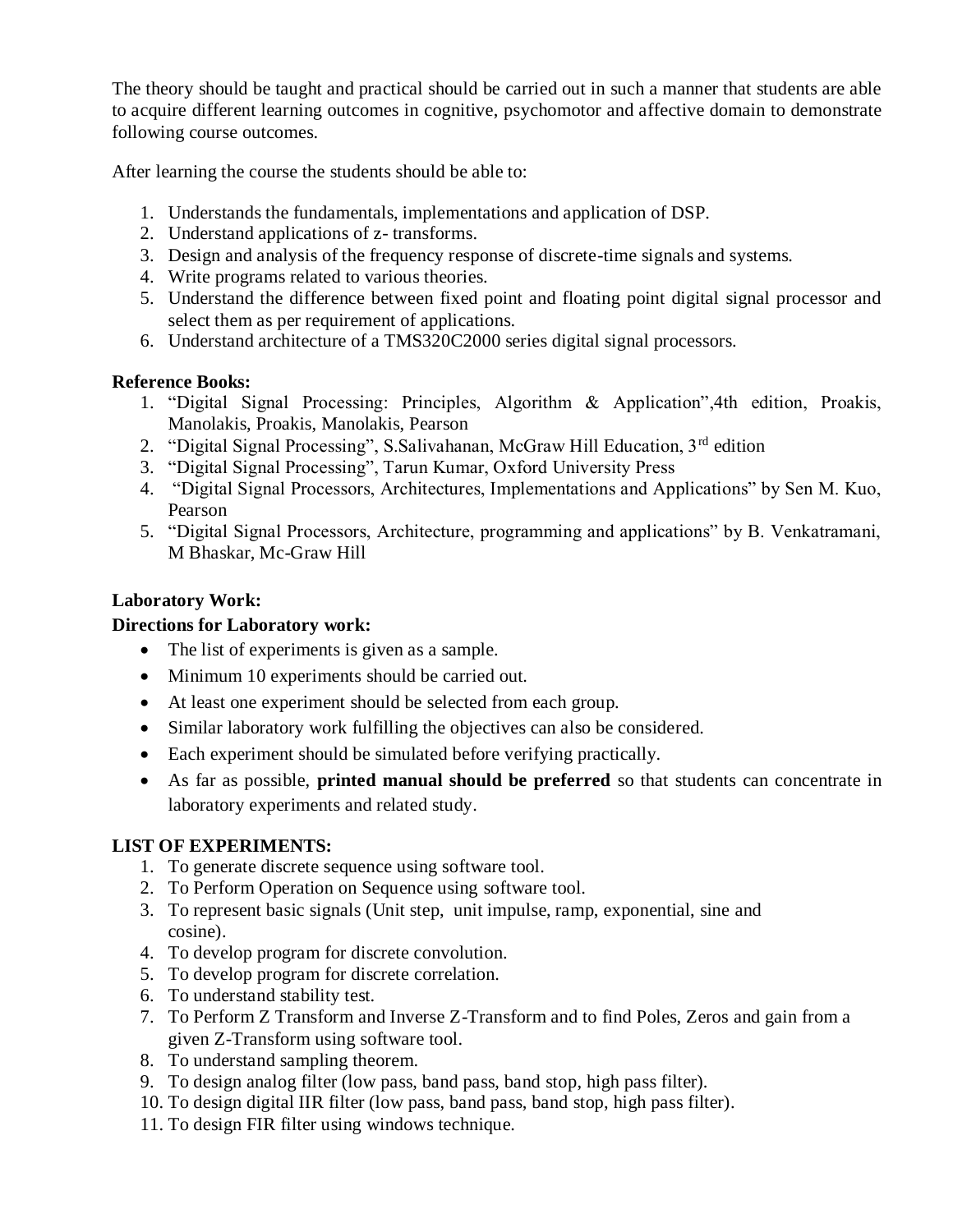The theory should be taught and practical should be carried out in such a manner that students are able to acquire different learning outcomes in cognitive, psychomotor and affective domain to demonstrate following course outcomes.

After learning the course the students should be able to:

- 1. Understands the fundamentals, implementations and application of DSP.
- 2. Understand applications of z- transforms.
- 3. Design and analysis of the frequency response of discrete-time signals and systems.
- 4. Write programs related to various theories.
- 5. Understand the difference between fixed point and floating point digital signal processor and select them as per requirement of applications.
- 6. Understand architecture of a TMS320C2000 series digital signal processors.

## **Reference Books:**

- 1. "Digital Signal Processing: Principles, Algorithm & Application",4th edition, Proakis, Manolakis, Proakis, Manolakis, Pearson
- 2. "Digital Signal Processing", S.Salivahanan, McGraw Hill Education, 3rd edition
- 3. "Digital Signal Processing", Tarun Kumar, Oxford University Press
- 4. "Digital Signal Processors, Architectures, Implementations and Applications" by Sen M. Kuo, Pearson
- 5. "Digital Signal Processors, Architecture, programming and applications" by B. Venkatramani, M Bhaskar, Mc-Graw Hill

## **Laboratory Work:**

## **Directions for Laboratory work:**

- The list of experiments is given as a sample.
- Minimum 10 experiments should be carried out.
- At least one experiment should be selected from each group.
- Similar laboratory work fulfilling the objectives can also be considered.
- Each experiment should be simulated before verifying practically.
- As far as possible, **printed manual should be preferred** so that students can concentrate in laboratory experiments and related study.

## **LIST OF EXPERIMENTS:**

- 1. To generate discrete sequence using software tool.
- 2. To Perform Operation on Sequence using software tool.
- 3. To represent basic signals (Unit step, unit impulse, ramp, exponential, sine and cosine).
- 4. To develop program for discrete convolution.
- 5. To develop program for discrete correlation.
- 6. To understand stability test.
- 7. To Perform Z Transform and Inverse Z-Transform and to find Poles, Zeros and gain from a given Z-Transform using software tool.
- 8. To understand sampling theorem.
- 9. To design analog filter (low pass, band pass, band stop, high pass filter).
- 10. To design digital IIR filter (low pass, band pass, band stop, high pass filter).
- 11. To design FIR filter using windows technique.